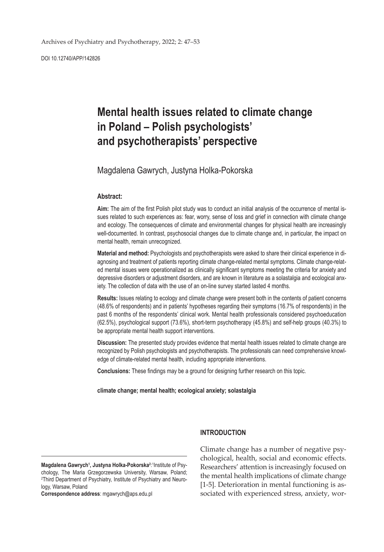DOI 10.12740/APP/142826

# **Mental health issues related to climate change in Poland – Polish psychologists' and psychotherapists' perspective**

## Magdalena Gawrych, Justyna Holka-Pokorska

#### **Abstract:**

**Aim:** The aim of the first Polish pilot study was to conduct an initial analysis of the occurrence of mental issues related to such experiences as: fear, worry, sense of loss and grief in connection with climate change and ecology. The consequences of climate and environmental changes for physical health are increasingly well-documented. In contrast, psychosocial changes due to climate change and, in particular, the impact on mental health, remain unrecognized.

**Material and method:** Psychologists and psychotherapists were asked to share their clinical experience in diagnosing and treatment of patients reporting climate change-related mental symptoms. Climate change-related mental issues were operationalized as clinically significant symptoms meeting the criteria for anxiety and depressive disorders or adjustment disorders, and are known in literature as a solastalgia and ecological anxiety. The collection of data with the use of an on-line survey started lasted 4 months.

**Results:** Issues relating to ecology and climate change were present both in the contents of patient concerns (48.6% of respondents) and in patients' hypotheses regarding their symptoms (16.7% of respondents) in the past 6 months of the respondents' clinical work. Mental health professionals considered psychoeducation (62.5%), psychological support (73.6%), short-term psychotherapy (45.8%) and self-help groups (40.3%) to be appropriate mental health support interventions.

**Discussion:** The presented study provides evidence that mental health issues related to climate change are recognized by Polish psychologists and psychotherapists. The professionals can need comprehensive knowledge of climate-related mental health, including appropriate interventions.

**Conclusions:** These findings may be a ground for designing further research on this topic.

**climate change; mental health; ecological anxiety; solastalgia**

#### Magdalena Gawrych<sup>1</sup>, Justyna Holka-Pokorska<sup>2:1</sup>Institute of Psychology, The Maria Grzegorzewska University, Warsaw, Poland; 2 Third Department of Psychiatry, Institute of Psychiatry and Neurology, Warsaw, Poland

**Correspondence address**: mgawrych@aps.edu.pl

#### **INTRODUCTION**

Climate change has a number of negative psychological, health, social and economic effects. Researchers' attention is increasingly focused on the mental health implications of climate change [1-5]. Deterioration in mental functioning is associated with experienced stress, anxiety, wor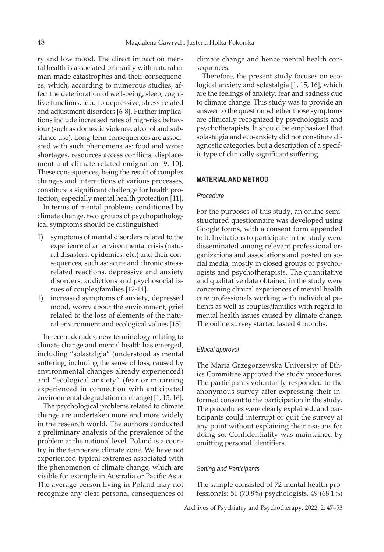ry and low mood. The direct impact on mental health is associated primarily with natural or man-made catastrophes and their consequences, which, according to numerous studies, affect the deterioration of well-being, sleep, cognitive functions, lead to depressive, stress-related and adjustment disorders [6-8]. Further implications include increased rates of high-risk behaviour (such as domestic violence, alcohol and substance use). Long-term consequences are associated with such phenomena as: food and water shortages, resources access conflicts, displacement and climate-related emigration [9, 10]. These consequences, being the result of complex changes and interactions of various processes, constitute a significant challenge for health protection, especially mental health protection [11].

In terms of mental problems conditioned by climate change, two groups of psychopathological symptoms should be distinguished:

- 1) symptoms of mental disorders related to the experience of an environmental crisis (natural disasters, epidemics, etc.) and their consequences, such as: acute and chronic stressrelated reactions, depressive and anxiety disorders, addictions and psychosocial issues of couples/families [12-14].
- 1) increased symptoms of anxiety, depressed mood, worry about the environment, grief related to the loss of elements of the natural environment and ecological values [15].

In recent decades, new terminology relating to climate change and mental health has emerged, including "solastalgia" (understood as mental suffering, including the sense of loss, caused by environmental changes already experienced) and "ecological anxiety" (fear or mourning experienced in connection with anticipated environmental degradation or change) [1, 15, 16].

The psychological problems related to climate change are undertaken more and more widely in the research world. The authors conducted a preliminary analysis of the prevalence of the problem at the national level. Poland is a country in the temperate climate zone. We have not experienced typical extremes associated with the phenomenon of climate change, which are visible for example in Australia or Pacific Asia. The average person living in Poland may not recognize any clear personal consequences of

climate change and hence mental health consequences.

Therefore, the present study focuses on ecological anxiety and solastalgia [1, 15, 16], which are the feelings of anxiety, fear and sadness due to climate change. This study was to provide an answer to the question whether those symptoms are clinically recognized by psychologists and psychotherapists. It should be emphasized that solastalgia and eco-anxiety did not constitute diagnostic categories, but a description of a specific type of clinically significant suffering.

## **MATERIAL AND METHOD**

#### *Procedure*

For the purposes of this study, an online semistructured questionnaire was developed using Google forms, with a consent form appended to it. Invitations to participate in the study were disseminated among relevant professional organizations and associations and posted on social media, mostly in closed groups of psychologists and psychotherapists. The quantitative and qualitative data obtained in the study were concerning clinical experiences of mental health care professionals working with individual patients as well as couples/families with regard to mental health issues caused by climate change. The online survey started lasted 4 months.

#### *Ethical approval*

The Maria Grzegorzewska University of Ethics Committee approved the study procedures. The participants voluntarily responded to the anonymous survey after expressing their informed consent to the participation in the study. The procedures were clearly explained, and participants could interrupt or quit the survey at any point without explaining their reasons for doing so. Confidentiality was maintained by omitting personal identifiers.

#### *Setting and Participants*

The sample consisted of 72 mental health professionals: 51 (70.8%) psychologists, 49 (68.1%)

Archives of Psychiatry and Psychotherapy, 2022; 2: 47–53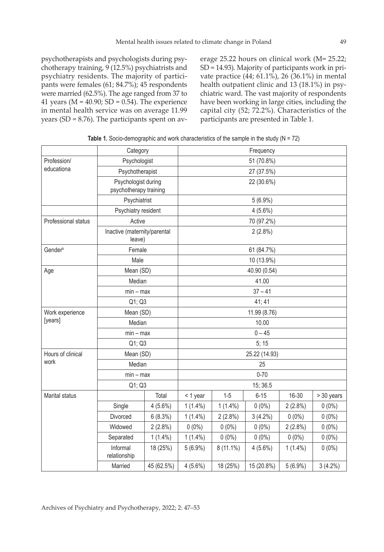psychotherapists and psychologists during psychotherapy training, 9 (12.5%) psychiatrists and psychiatry residents. The majority of participants were females (61; 84.7%); 45 respondents were married (62.5%). The age ranged from 37 to 41 years ( $M = 40.90$ ; SD = 0.54). The experience in mental health service was on average 11.99 years (SD = 8.76). The participants spent on average 25.22 hours on clinical work (M= 25.22; SD = 14.93). Majority of participants work in private practice (44; 61.1%), 26 (36.1%) in mental health outpatient clinic and 13 (18.1%) in psychiatric ward. The vast majority of respondents have been working in large cities, including the capital city (52; 72.2%). Characteristics of the participants are presented in Table 1.

|                            | Category                                      |                      | Frequency    |             |               |            |            |  |
|----------------------------|-----------------------------------------------|----------------------|--------------|-------------|---------------|------------|------------|--|
| Profession/                |                                               | Psychologist         | 51 (70.8%)   |             |               |            |            |  |
| educationa                 | Psychotherapist                               |                      |              | 27 (37.5%)  |               |            |            |  |
|                            | Psychologist during<br>psychotherapy training |                      | 22 (30.6%)   |             |               |            |            |  |
|                            |                                               | Psychiatrist         |              | $5(6.9\%)$  |               |            |            |  |
|                            | Psychiatry resident                           |                      |              |             | $4(5.6\%)$    |            |            |  |
| Professional status        |                                               | Active<br>70 (97.2%) |              |             |               |            |            |  |
|                            | Inactive (maternity/parental<br>leave)        |                      | 2(2.8%)      |             |               |            |            |  |
| Gender <sup>b</sup>        | Female                                        |                      |              |             | 61 (84.7%)    |            |            |  |
|                            | Male                                          |                      |              |             | 10 (13.9%)    |            |            |  |
| Age                        | Mean (SD)                                     |                      |              |             | 40.90 (0.54)  |            |            |  |
|                            | Median                                        |                      |              |             | 41.00         |            |            |  |
|                            | $min - max$                                   |                      | $37 - 41$    |             |               |            |            |  |
|                            | Q1; Q3                                        |                      | 41; 41       |             |               |            |            |  |
| Work experience<br>[years] | Mean (SD)                                     |                      | 11.99 (8.76) |             |               |            |            |  |
|                            | Median                                        |                      | 10.00        |             |               |            |            |  |
|                            | $min - max$                                   |                      |              |             | $0 - 45$      |            |            |  |
|                            | Q1; Q3                                        |                      |              |             | 5; 15         |            |            |  |
| Hours of clinical          | Mean (SD)                                     |                      |              |             | 25.22 (14.93) |            |            |  |
| work                       | Median                                        |                      |              |             | 25            |            |            |  |
|                            | $min - max$                                   |                      |              |             | $0 - 70$      |            |            |  |
|                            | Q1; Q3                                        |                      |              |             | 15; 36.5      |            |            |  |
| Marital status             |                                               | Total                | < 1 year     | $1-5$       | $6 - 15$      | 16-30      | > 30 years |  |
|                            | Single                                        | $4(5.6\%)$           | $1(1.4\%)$   | $1(1.4\%)$  | $0(0\%)$      | $2(2.8\%)$ | $0(0\%)$   |  |
|                            | Divorced                                      | 6(8.3%)              | $1(1.4\%)$   | 2(2.8%)     | $3(4.2\%)$    | $0(0\%)$   | $0(0\%)$   |  |
|                            | Widowed                                       | $2(2.8\%)$           | $0(0\%)$     | $0(0\%)$    | $0(0\%)$      | $2(2.8\%)$ | $0(0\%)$   |  |
|                            | Separated                                     | $1(1.4\%)$           | $1(1.4\%)$   | $0(0\%)$    | $0(0\%)$      | $0(0\%)$   | $0(0\%)$   |  |
|                            | Informal<br>relationship                      | 18 (25%)             | $5(6.9\%)$   | $8(11.1\%)$ | $4(5.6\%)$    | $1(1.4\%)$ | $0(0\%)$   |  |
|                            | Married                                       | 45 (62.5%)           | $4(5.6\%)$   | 18 (25%)    | 15 (20.8%)    | $5(6.9\%)$ | $3(4.2\%)$ |  |

**Table 1.** Socio-demographic and work characteristics of the sample in the study (N = 72)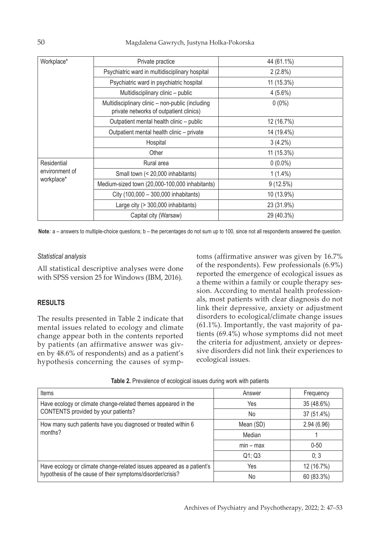| Workplace*                                  | Private practice                                                                            | 44 (61.1%)  |
|---------------------------------------------|---------------------------------------------------------------------------------------------|-------------|
|                                             | Psychiatric ward in multidisciplinary hospital                                              | $2(2.8\%)$  |
|                                             | Psychiatric ward in psychiatric hospital                                                    | 11 (15.3%)  |
|                                             | Multidisciplinary clinic - public                                                           | $4(5.6\%)$  |
|                                             | Multidisciplinary clinic - non-public (including<br>private networks of outpatient clinics) | $0(0\%)$    |
|                                             | Outpatient mental health clinic - public                                                    | 12 (16.7%)  |
|                                             | Outpatient mental health clinic - private                                                   | 14 (19.4%)  |
|                                             | Hospital                                                                                    | $3(4.2\%)$  |
|                                             | Other                                                                                       | 11 (15.3%)  |
| Residential<br>environment of<br>workplace* | Rural area                                                                                  | $0(0.0\%)$  |
|                                             | Small town (< 20,000 inhabitants)                                                           | $1(1.4\%)$  |
|                                             | Medium-sized town (20,000-100,000 inhabitants)                                              | $9(12.5\%)$ |
|                                             | City (100,000 - 300,000 inhabitants)                                                        | 10 (13.9%)  |
|                                             | Large city (> 300,000 inhabitants)                                                          | 23 (31.9%)  |
|                                             | Capital city (Warsaw)                                                                       | 29 (40.3%)  |

**Note***:* a – answers to multiple-choice questions; b – the percentages do not sum up to 100, since not all respondents answered the question.

## *Statistical analysis*

All statistical descriptive analyses were done with SPSS version 25 for Windows (IBM, 2016).

## **RESULTS**

The results presented in Table 2 indicate that mental issues related to ecology and climate change appear both in the contents reported by patients (an affirmative answer was given by 48.6% of respondents) and as a patient's hypothesis concerning the causes of symptoms (affirmative answer was given by 16.7% of the respondents). Few professionals (6.9%) reported the emergence of ecological issues as a theme within a family or couple therapy session. According to mental health professionals, most patients with clear diagnosis do not link their depressive, anxiety or adjustment disorders to ecological/climate change issues (61.1%). Importantly, the vast majority of patients (69.4%) whose symptoms did not meet the criteria for adjustment, anxiety or depressive disorders did not link their experiences to ecological issues.

|  |  | Table 2. Prevalence of ecological issues during work with patients |
|--|--|--------------------------------------------------------------------|
|  |  |                                                                    |

| <b>Items</b>                                                                                                                        | Answer      | Frequency  |
|-------------------------------------------------------------------------------------------------------------------------------------|-------------|------------|
| Have ecology or climate change-related themes appeared in the                                                                       | Yes         | 35 (48.6%) |
| CONTENTS provided by your patients?                                                                                                 | No          | 37 (51.4%) |
| How many such patients have you diagnosed or treated within 6                                                                       | Mean (SD)   | 2.94(6.96) |
| months?                                                                                                                             | Median      |            |
|                                                                                                                                     | $min - max$ | $0 - 50$   |
|                                                                                                                                     | Q1; Q3      | 0; 3       |
| Have ecology or climate change-related issues appeared as a patient's<br>hypothesis of the cause of their symptoms/disorder/crisis? | Yes         | 12 (16.7%) |
|                                                                                                                                     | No          | 60 (83.3%) |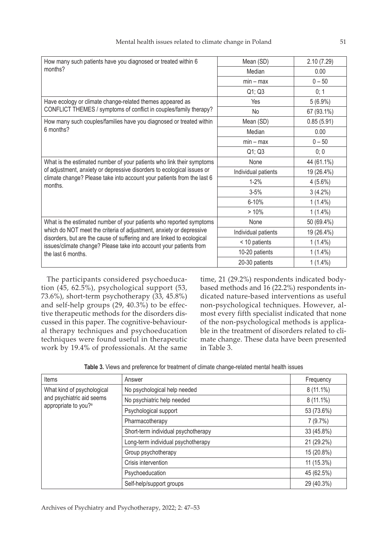| How many such patients have you diagnosed or treated within 6                                                                                                                                                       | Mean (SD)           | 2.10(7.29) |
|---------------------------------------------------------------------------------------------------------------------------------------------------------------------------------------------------------------------|---------------------|------------|
| months?                                                                                                                                                                                                             | Median              | 0.00       |
|                                                                                                                                                                                                                     | $min - max$         | $0 - 50$   |
|                                                                                                                                                                                                                     | Q1; Q3              | 0; 1       |
| Have ecology or climate change-related themes appeared as                                                                                                                                                           | <b>Yes</b>          | $5(6.9\%)$ |
| CONFLICT THEMES / symptoms of conflict in couples/family therapy?                                                                                                                                                   | No                  | 67 (93.1%) |
| How many such couples/families have you diagnosed or treated within                                                                                                                                                 | Mean (SD)           | 0.85(5.91) |
| 6 months?                                                                                                                                                                                                           | Median              | 0.00       |
|                                                                                                                                                                                                                     | $min - max$         | $0 - 50$   |
|                                                                                                                                                                                                                     | Q1; Q3              | 0; 0       |
| What is the estimated number of your patients who link their symptoms                                                                                                                                               | None                | 44 (61.1%) |
| of adjustment, anxiety or depressive disorders to ecological issues or<br>climate change? Please take into account your patients from the last 6<br>months.                                                         | Individual patients | 19 (26.4%) |
|                                                                                                                                                                                                                     | $1 - 2%$            | $4(5.6\%)$ |
|                                                                                                                                                                                                                     | $3 - 5%$            | $3(4.2\%)$ |
|                                                                                                                                                                                                                     | 6-10%               | $1(1.4\%)$ |
|                                                                                                                                                                                                                     | >10%                | $1(1.4\%)$ |
| What is the estimated number of your patients who reported symptoms                                                                                                                                                 | None                | 50 (69.4%) |
| which do NOT meet the criteria of adjustment, anxiety or depressive<br>disorders, but are the cause of suffering and are linked to ecological<br>issues/climate change? Please take into account your patients from | Individual patients | 19 (26.4%) |
|                                                                                                                                                                                                                     | < 10 patients       | $1(1.4\%)$ |
| the last 6 months.                                                                                                                                                                                                  | 10-20 patients      | $1(1.4\%)$ |
|                                                                                                                                                                                                                     | 20-30 patients      | $1(1.4\%)$ |

The participants considered psychoeducation (45, 62.5%), psychological support (53, 73.6%), short-term psychotherapy (33, 45.8%) and self-help groups (29, 40.3%) to be effective therapeutic methods for the disorders discussed in this paper. The cognitive-behavioural therapy techniques and psychoeducation techniques were found useful in therapeutic work by 19.4% of professionals. At the same

time, 21 (29.2%) respondents indicated bodybased methods and 16 (22.2%) respondents indicated nature-based interventions as useful non-psychological techniques. However, almost every fifth specialist indicated that none of the non-psychological methods is applicable in the treatment of disorders related to climate change. These data have been presented in Table 3.

| Items                                                                                       | Answer                              | Frequency   |
|---------------------------------------------------------------------------------------------|-------------------------------------|-------------|
| What kind of psychological<br>and psychiatric aid seems<br>appropriate to you? <sup>a</sup> | No psychological help needed        | $8(11.1\%)$ |
|                                                                                             | No psychiatric help needed          | $8(11.1\%)$ |
|                                                                                             | Psychological support               | 53 (73.6%)  |
|                                                                                             | Pharmacotherapy                     | 7(9.7%)     |
|                                                                                             | Short-term individual psychotherapy | 33 (45.8%)  |
|                                                                                             | Long-term individual psychotherapy  | 21 (29.2%)  |
|                                                                                             | Group psychotherapy                 | 15 (20.8%)  |
|                                                                                             | Crisis intervention                 | 11 (15.3%)  |
|                                                                                             | Psychoeducation                     | 45 (62.5%)  |
|                                                                                             | Self-help/support groups            | 29 (40.3%)  |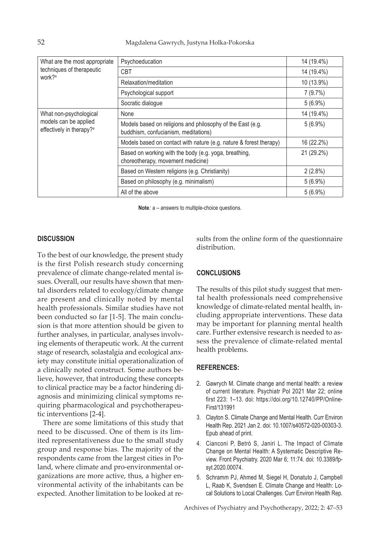| What are the most appropriate<br>techniques of therapeutic<br>work? <sup>a</sup> | Psychoeducation                                                                                    | 14 (19.4%) |
|----------------------------------------------------------------------------------|----------------------------------------------------------------------------------------------------|------------|
|                                                                                  | CBT                                                                                                | 14 (19.4%) |
|                                                                                  | Relaxation/meditation                                                                              | 10 (13.9%) |
|                                                                                  | Psychological support                                                                              | 7(9.7%)    |
|                                                                                  | Socratic dialogue                                                                                  | $5(6.9\%)$ |
| What non-psychological                                                           | None                                                                                               | 14 (19.4%) |
| models can be applied<br>effectively in therapy? <sup>a</sup>                    | Models based on religions and philosophy of the East (e.g.<br>buddhism, confucianism, meditations) | $5(6.9\%)$ |
|                                                                                  | Models based on contact with nature (e.g. nature & forest therapy)                                 | 16 (22.2%) |
|                                                                                  | Based on working with the body (e.g. yoga, breathing,<br>choreotherapy, movement medicine)         | 21 (29.2%) |
|                                                                                  | Based on Western religions (e.g. Christianity)                                                     | $2(2.8\%)$ |
|                                                                                  | Based on philosophy (e.g. minimalism)                                                              | $5(6.9\%)$ |
|                                                                                  | All of the above                                                                                   | $5(6.9\%)$ |

**Note***:* a – answers to multiple-choice questions.

## **DISCUSSION**

To the best of our knowledge, the present study is the first Polish research study concerning prevalence of climate change-related mental issues. Overall, our results have shown that mental disorders related to ecology/climate change are present and clinically noted by mental health professionals. Similar studies have not been conducted so far [1-5]. The main conclusion is that more attention should be given to further analyses, in particular, analyses involving elements of therapeutic work. At the current stage of research, solastalgia and ecological anxiety may constitute initial operationalization of a clinically noted construct. Some authors believe, however, that introducing these concepts to clinical practice may be a factor hindering diagnosis and minimizing clinical symptoms requiring pharmacological and psychotherapeutic interventions [2-4].

There are some limitations of this study that need to be discussed. One of them is its limited representativeness due to the small study group and response bias. The majority of the respondents came from the largest cities in Poland, where climate and pro-environmental organizations are more active, thus, a higher environmental activity of the inhabitants can be expected. Another limitation to be looked at results from the online form of the questionnaire distribution.

#### **CONCLUSIONS**

The results of this pilot study suggest that mental health professionals need comprehensive knowledge of climate-related mental health, including appropriate interventions. These data may be important for planning mental health care. Further extensive research is needed to assess the prevalence of climate-related mental health problems.

#### **REFERENCES:**

- 2. Gawrych M. Climate change and mental health: a review of current literature. Psychiatr Pol 2021 Mar 22; online first 223: 1–13. doi: https://doi.org/10.12740/PP/Online-First/131991
- 3. Clayton S. Climate Change and Mental Health. Curr Environ Health Rep. 2021 Jan 2. doi: 10.1007/s40572-020-00303-3. Epub ahead of print.
- 4. Cianconi P, Betrò S, Janiri L. The Impact of Climate Change on Mental Health: A Systematic Descriptive Review. Front Psychiatry. 2020 Mar 6; 11:74. doi: 10.3389/fpsyt.2020.00074.
- 5. Schramm PJ, Ahmed M, Siegel H, Donatuto J, Campbell L, Raab K, Svendsen E. Climate Change and Health: Local Solutions to Local Challenges. Curr Environ Health Rep.

Archives of Psychiatry and Psychotherapy, 2022; 2: 47–53